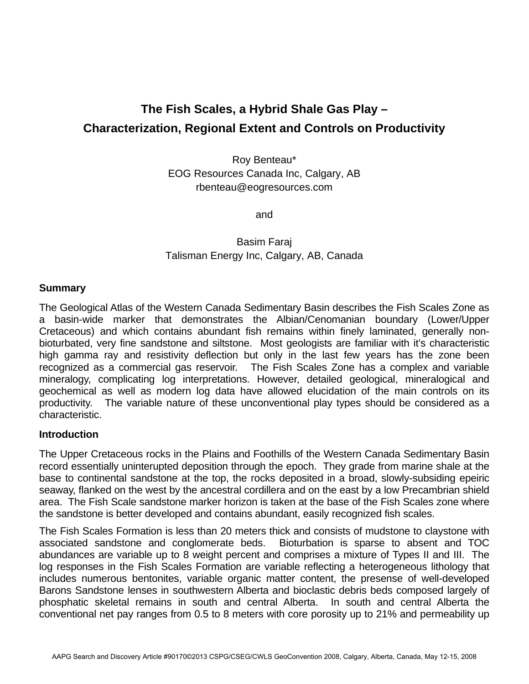# **The Fish Scales, a Hybrid Shale Gas Play – Characterization, Regional Extent and Controls on Productivity**

Roy Benteau\* EOG Resources Canada Inc, Calgary, AB rbenteau@eogresources.com

and

## Basim Faraj Talisman Energy Inc, Calgary, AB, Canada

#### **Summary**

The Geological Atlas of the Western Canada Sedimentary Basin describes the Fish Scales Zone as a basin-wide marker that demonstrates the Albian/Cenomanian boundary (Lower/Upper Cretaceous) and which contains abundant fish remains within finely laminated, generally nonbioturbated, very fine sandstone and siltstone. Most geologists are familiar with it's characteristic high gamma ray and resistivity deflection but only in the last few years has the zone been recognized as a commercial gas reservoir. The Fish Scales Zone has a complex and variable mineralogy, complicating log interpretations. However, detailed geological, mineralogical and geochemical as well as modern log data have allowed elucidation of the main controls on its productivity. The variable nature of these unconventional play types should be considered as a characteristic.

#### **Introduction**

The Upper Cretaceous rocks in the Plains and Foothills of the Western Canada Sedimentary Basin record essentially uninterupted deposition through the epoch. They grade from marine shale at the base to continental sandstone at the top, the rocks deposited in a broad, slowly-subsiding epeiric seaway, flanked on the west by the ancestral cordillera and on the east by a low Precambrian shield area. The Fish Scale sandstone marker horizon is taken at the base of the Fish Scales zone where the sandstone is better developed and contains abundant, easily recognized fish scales.

The Fish Scales Formation is less than 20 meters thick and consists of mudstone to claystone with associated sandstone and conglomerate beds. Bioturbation is sparse to absent and TOC abundances are variable up to 8 weight percent and comprises a mixture of Types II and III. The log responses in the Fish Scales Formation are variable reflecting a heterogeneous lithology that includes numerous bentonites, variable organic matter content, the presense of well-developed Barons Sandstone lenses in southwestern Alberta and bioclastic debris beds composed largely of phosphatic skeletal remains in south and central Alberta. In south and central Alberta the conventional net pay ranges from 0.5 to 8 meters with core porosity up to 21% and permeability up